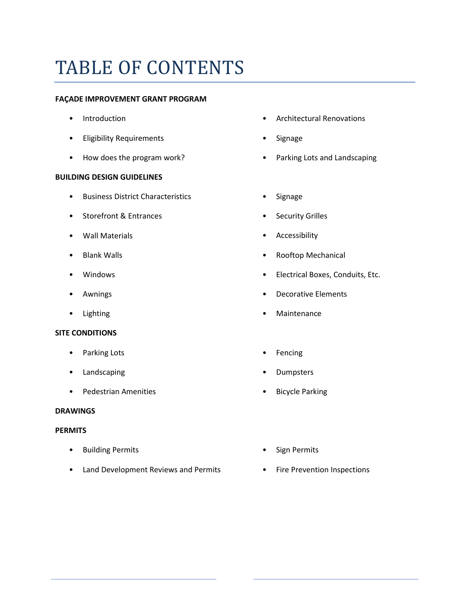## TABLE OF CONTENTS

#### **FAÇADE IMPROVEMENT GRANT PROGRAM**

- Introduction
- Eligibility Requirements
- How does the program work?

#### **BUILDING DESIGN GUIDELINES**

- Business District Characteristics
- Storefront & Entrances
- Wall Materials
- Blank Walls
- Windows
- Awnings
- Lighting

#### **SITE CONDITIONS**

- Parking Lots
- Landscaping
- Pedestrian Amenities

#### **DRAWINGS**

#### **PERMITS**

- Building Permits
- Land Development Reviews and Permits Fire Prevention Inspections
- Architectural Renovations
- **Signage**
- Parking Lots and Landscaping
- **Signage**
- Security Grilles
- **Accessibility**
- Rooftop Mechanical
- Electrical Boxes, Conduits, Etc.
- Decorative Elements
- **Maintenance**
- **Fencing**
- **Dumpsters**
- **Bicycle Parking**
- Sign Permits
-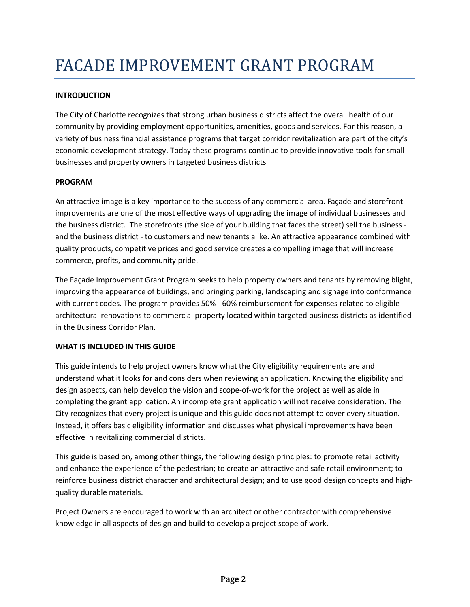## **INTRODUCTION**

The City of Charlotte recognizes that strong urban business districts affect the overall health of our community by providing employment opportunities, amenities, goods and services. For this reason, a variety of business financial assistance programs that target corridor revitalization are part of the city's economic development strategy. Today these programs continue to provide innovative tools for small businesses and property owners in targeted business districts

#### **PROGRAM**

An attractive image is a key importance to the success of any commercial area. Façade and storefront improvements are one of the most effective ways of upgrading the image of individual businesses and the business district. The storefronts (the side of your building that faces the street) sell the business and the business district - to customers and new tenants alike. An attractive appearance combined with quality products, competitive prices and good service creates a compelling image that will increase commerce, profits, and community pride.

The Façade Improvement Grant Program seeks to help property owners and tenants by removing blight, improving the appearance of buildings, and bringing parking, landscaping and signage into conformance with current codes. The program provides 50% - 60% reimbursement for expenses related to eligible architectural renovations to commercial property located within targeted business districts as identified in the Business Corridor Plan.

## **WHAT IS INCLUDED IN THIS GUIDE**

This guide intends to help project owners know what the City eligibility requirements are and understand what it looks for and considers when reviewing an application. Knowing the eligibility and design aspects, can help develop the vision and scope-of-work for the project as well as aide in completing the grant application. An incomplete grant application will not receive consideration. The City recognizes that every project is unique and this guide does not attempt to cover every situation. Instead, it offers basic eligibility information and discusses what physical improvements have been effective in revitalizing commercial districts.

This guide is based on, among other things, the following design principles: to promote retail activity and enhance the experience of the pedestrian; to create an attractive and safe retail environment; to reinforce business district character and architectural design; and to use good design concepts and highquality durable materials.

Project Owners are encouraged to work with an architect or other contractor with comprehensive knowledge in all aspects of design and build to develop a project scope of work.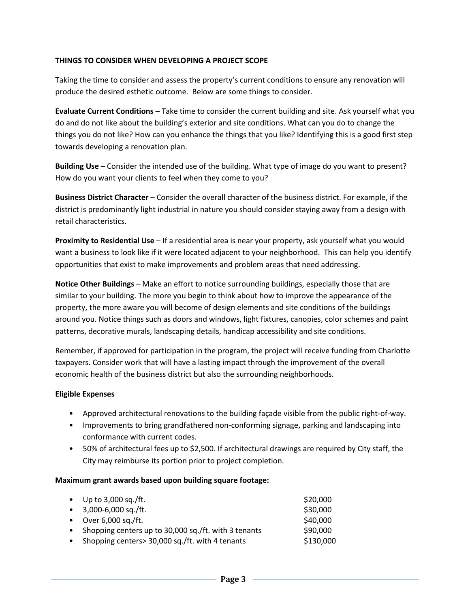#### **THINGS TO CONSIDER WHEN DEVELOPING A PROJECT SCOPE**

Taking the time to consider and assess the property's current conditions to ensure any renovation will produce the desired esthetic outcome. Below are some things to consider.

**Evaluate Current Conditions** – Take time to consider the current building and site. Ask yourself what you do and do not like about the building's exterior and site conditions. What can you do to change the things you do not like? How can you enhance the things that you like? Identifying this is a good first step towards developing a renovation plan.

**Building Use** – Consider the intended use of the building. What type of image do you want to present? How do you want your clients to feel when they come to you?

**Business District Character** – Consider the overall character of the business district. For example, if the district is predominantly light industrial in nature you should consider staying away from a design with retail characteristics.

**Proximity to Residential Use** – If a residential area is near your property, ask yourself what you would want a business to look like if it were located adjacent to your neighborhood. This can help you identify opportunities that exist to make improvements and problem areas that need addressing.

**Notice Other Buildings** – Make an effort to notice surrounding buildings, especially those that are similar to your building. The more you begin to think about how to improve the appearance of the property, the more aware you will become of design elements and site conditions of the buildings around you. Notice things such as doors and windows, light fixtures, canopies, color schemes and paint patterns, decorative murals, landscaping details, handicap accessibility and site conditions.

Remember, if approved for participation in the program, the project will receive funding from Charlotte taxpayers. Consider work that will have a lasting impact through the improvement of the overall economic health of the business district but also the surrounding neighborhoods.

#### **Eligible Expenses**

- Approved architectural renovations to the building façade visible from the public right-of-way.
- Improvements to bring grandfathered non-conforming signage, parking and landscaping into conformance with current codes.
- 50% of architectural fees up to \$2,500. If architectural drawings are required by City staff, the City may reimburse its portion prior to project completion.

#### **Maximum grant awards based upon building square footage:**

| $\bullet$ | Up to 3,000 sq./ft.                                    | \$20,000  |
|-----------|--------------------------------------------------------|-----------|
|           | $\bullet$ 3,000-6,000 sq./ft.                          | \$30,000  |
| $\bullet$ | Over 6,000 sq./ft.                                     | \$40,000  |
|           | • Shopping centers up to 30,000 sq./ft. with 3 tenants | \$90,000  |
| $\bullet$ | Shopping centers> 30,000 sq./ft. with 4 tenants        | \$130,000 |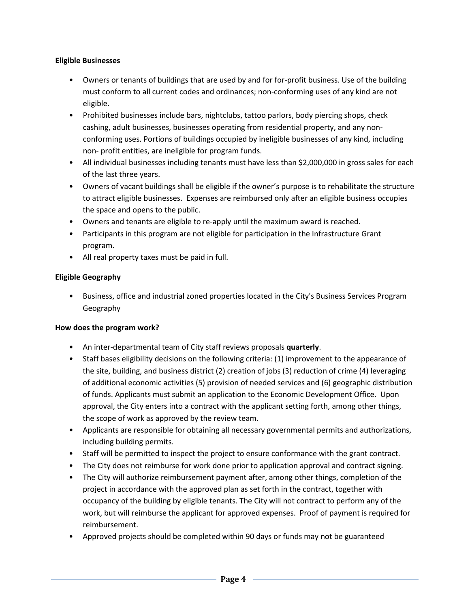#### **Eligible Businesses**

- Owners or tenants of buildings that are used by and for for-profit business. Use of the building must conform to all current codes and ordinances; non-conforming uses of any kind are not eligible.
- Prohibited businesses include bars, nightclubs, tattoo parlors, body piercing shops, check cashing, adult businesses, businesses operating from residential property, and any nonconforming uses. Portions of buildings occupied by ineligible businesses of any kind, including non- profit entities, are ineligible for program funds.
- All individual businesses including tenants must have less than \$2,000,000 in gross sales for each of the last three years.
- Owners of vacant buildings shall be eligible if the owner's purpose is to rehabilitate the structure to attract eligible businesses. Expenses are reimbursed only after an eligible business occupies the space and opens to the public.
- Owners and tenants are eligible to re-apply until the maximum award is reached.
- Participants in this program are not eligible for participation in the Infrastructure Grant program.
- All real property taxes must be paid in full.

## **Eligible Geography**

• Business, office and industrial zoned properties located in the City's Business Services Program Geography

## **How does the program work?**

- An inter-departmental team of City staff reviews proposals **quarterly**.
- Staff bases eligibility decisions on the following criteria: (1) improvement to the appearance of the site, building, and business district (2) creation of jobs (3) reduction of crime (4) leveraging of additional economic activities (5) provision of needed services and (6) geographic distribution of funds. Applicants must submit an application to the Economic Development Office. Upon approval, the City enters into a contract with the applicant setting forth, among other things, the scope of work as approved by the review team.
- Applicants are responsible for obtaining all necessary governmental permits and authorizations, including building permits.
- Staff will be permitted to inspect the project to ensure conformance with the grant contract.
- The City does not reimburse for work done prior to application approval and contract signing.
- The City will authorize reimbursement payment after, among other things, completion of the project in accordance with the approved plan as set forth in the contract, together with occupancy of the building by eligible tenants. The City will not contract to perform any of the work, but will reimburse the applicant for approved expenses. Proof of payment is required for reimbursement.
- Approved projects should be completed within 90 days or funds may not be guaranteed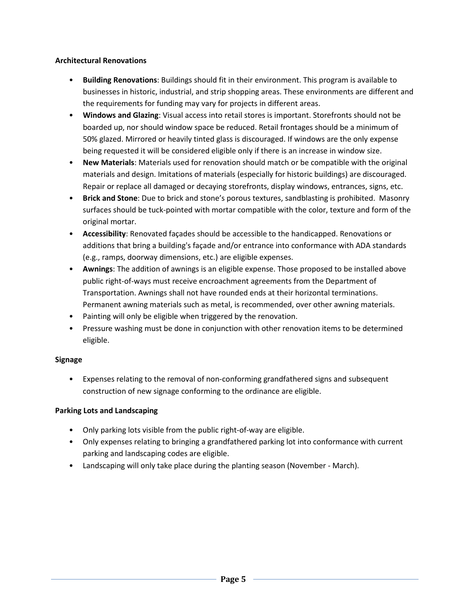#### **Architectural Renovations**

- **Building Renovations**: Buildings should fit in their environment. This program is available to businesses in historic, industrial, and strip shopping areas. These environments are different and the requirements for funding may vary for projects in different areas.
- **Windows and Glazing**: Visual access into retail stores is important. Storefronts should not be boarded up, nor should window space be reduced. Retail frontages should be a minimum of 50% glazed. Mirrored or heavily tinted glass is discouraged. If windows are the only expense being requested it will be considered eligible only if there is an increase in window size.
- **New Materials**: Materials used for renovation should match or be compatible with the original materials and design. Imitations of materials (especially for historic buildings) are discouraged. Repair or replace all damaged or decaying storefronts, display windows, entrances, signs, etc.
- **Brick and Stone**: Due to brick and stone's porous textures, sandblasting is prohibited. Masonry surfaces should be tuck-pointed with mortar compatible with the color, texture and form of the original mortar.
- **Accessibility**: Renovated façades should be accessible to the handicapped. Renovations or additions that bring a building's façade and/or entrance into conformance with ADA standards (e.g., ramps, doorway dimensions, etc.) are eligible expenses.
- **Awnings**: The addition of awnings is an eligible expense. Those proposed to be installed above public right-of-ways must receive encroachment agreements from the Department of Transportation. Awnings shall not have rounded ends at their horizontal terminations. Permanent awning materials such as metal, is recommended, over other awning materials.
- Painting will only be eligible when triggered by the renovation.
- Pressure washing must be done in conjunction with other renovation items to be determined eligible.

## **Signage**

• Expenses relating to the removal of non-conforming grandfathered signs and subsequent construction of new signage conforming to the ordinance are eligible.

## **Parking Lots and Landscaping**

- Only parking lots visible from the public right-of-way are eligible.
- Only expenses relating to bringing a grandfathered parking lot into conformance with current parking and landscaping codes are eligible.
- Landscaping will only take place during the planting season (November March).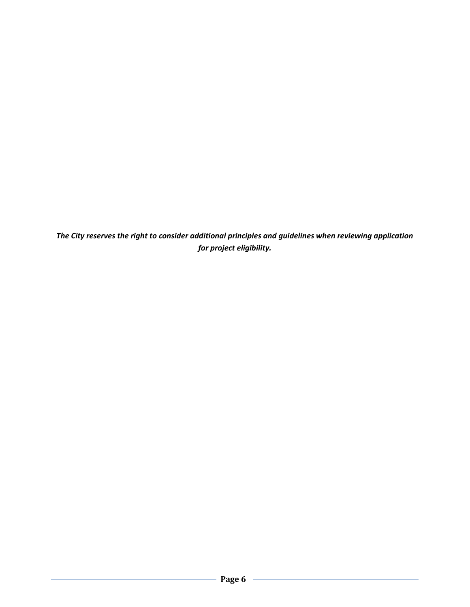*The City reserves the right to consider additional principles and guidelines when reviewing application for project eligibility.*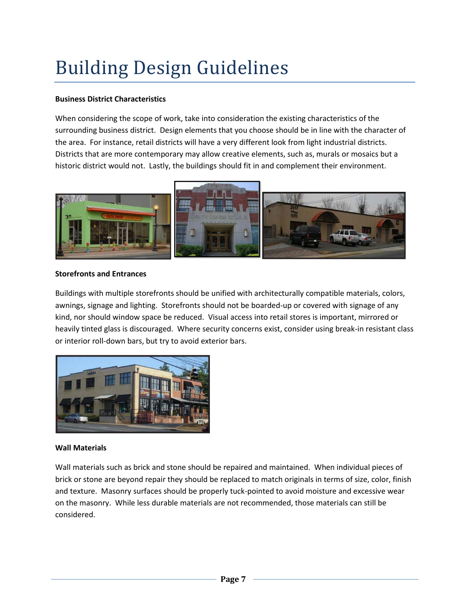# Building Design Guidelines

## **Business District Characteristics**

When considering the scope of work, take into consideration the existing characteristics of the surrounding business district. Design elements that you choose should be in line with the character of the area. For instance, retail districts will have a very different look from light industrial districts. Districts that are more contemporary may allow creative elements, such as, murals or mosaics but a historic district would not. Lastly, the buildings should fit in and complement their environment.



#### **Storefronts and Entrances**

Buildings with multiple storefronts should be unified with architecturally compatible materials, colors, awnings, signage and lighting. Storefronts should not be boarded-up or covered with signage of any kind, nor should window space be reduced. Visual access into retail stores is important, mirrored or heavily tinted glass is discouraged. Where security concerns exist, consider using break-in resistant class or interior roll-down bars, but try to avoid exterior bars.



## **Wall Materials**

Wall materials such as brick and stone should be repaired and maintained. When individual pieces of brick or stone are beyond repair they should be replaced to match originals in terms of size, color, finish and texture. Masonry surfaces should be properly tuck-pointed to avoid moisture and excessive wear on the masonry. While less durable materials are not recommended, those materials can still be considered.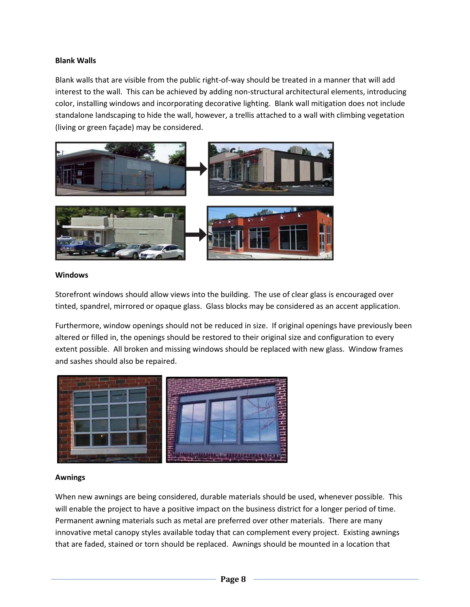#### **Blank Walls**

Blank walls that are visible from the public right-of-way should be treated in a manner that will add interest to the wall. This can be achieved by adding non-structural architectural elements, introducing color, installing windows and incorporating decorative lighting. Blank wall mitigation does not include standalone landscaping to hide the wall, however, a trellis attached to a wall with climbing vegetation (living or green façade) may be considered.



#### **Windows**

Storefront windows should allow views into the building. The use of clear glass is encouraged over tinted, spandrel, mirrored or opaque glass. Glass blocks may be considered as an accent application.

Furthermore, window openings should not be reduced in size. If original openings have previously been altered or filled in, the openings should be restored to their original size and configuration to every extent possible. All broken and missing windows should be replaced with new glass. Window frames and sashes should also be repaired.



#### **Awnings**

When new awnings are being considered, durable materials should be used, whenever possible. This will enable the project to have a positive impact on the business district for a longer period of time. Permanent awning materials such as metal are preferred over other materials. There are many innovative metal canopy styles available today that can complement every project. Existing awnings that are faded, stained or torn should be replaced. Awnings should be mounted in a location that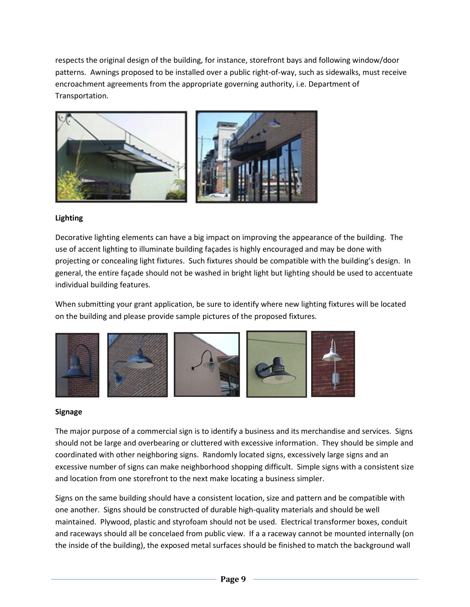respects the original design of the building, for instance, storefront bays and following window/door patterns. Awnings proposed to be installed over a public right-of-way, such as sidewalks, must receive encroachment agreements from the appropriate governing authority, i.e. Department of Transportation.



## **Lighting**

Decorative lighting elements can have a big impact on improving the appearance of the building. The use of accent lighting to illuminate building façades is highly encouraged and may be done with projecting or concealing light fixtures. Such fixtures should be compatible with the building's design. In general, the entire façade should not be washed in bright light but lighting should be used to accentuate individual building features.

When submitting your grant application, be sure to identify where new lighting fixtures will be located on the building and please provide sample pictures of the proposed fixtures.



#### **Signage**

The major purpose of a commercial sign is to identify a business and its merchandise and services. Signs should not be large and overbearing or cluttered with excessive information. They should be simple and coordinated with other neighboring signs. Randomly located signs, excessively large signs and an excessive number of signs can make neighborhood shopping difficult. Simple signs with a consistent size and location from one storefront to the next make locating a business simpler.

Signs on the same building should have a consistent location, size and pattern and be compatible with one another. Signs should be constructed of durable high-quality materials and should be well maintained. Plywood, plastic and styrofoam should not be used. Electrical transformer boxes, conduit and raceways should all be concelaed from public view. If a a raceway cannot be mounted internally (on the inside of the building), the exposed metal surfaces should be finished to match the background wall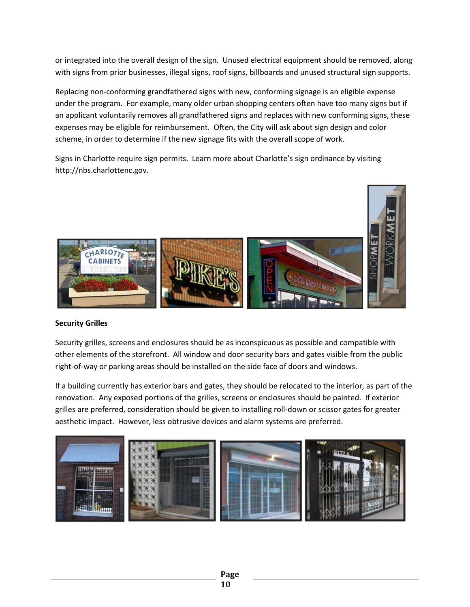or integrated into the overall design of the sign. Unused electrical equipment should be removed, along with signs from prior businesses, illegal signs, roof signs, billboards and unused structural sign supports.

Replacing non-conforming grandfathered signs with new, conforming signage is an eligible expense under the program. For example, many older urban shopping centers often have too many signs but if an applicant voluntarily removes all grandfathered signs and replaces with new conforming signs, these expenses may be eligible for reimbursement. Often, the City will ask about sign design and color scheme, in order to determine if the new signage fits with the overall scope of work.

Signs in Charlotte require sign permits. Learn more about Charlotte's sign ordinance by visiting http://nbs.charlottenc.gov.



## **Security Grilles**

Security grilles, screens and enclosures should be as inconspicuous as possible and compatible with other elements of the storefront. All window and door security bars and gates visible from the public right-of-way or parking areas should be installed on the side face of doors and windows.

If a building currently has exterior bars and gates, they should be relocated to the interior, as part of the renovation. Any exposed portions of the grilles, screens or enclosures should be painted. If exterior grilles are preferred, consideration should be given to installing roll-down or scissor gates for greater aesthetic impact. However, less obtrusive devices and alarm systems are preferred.

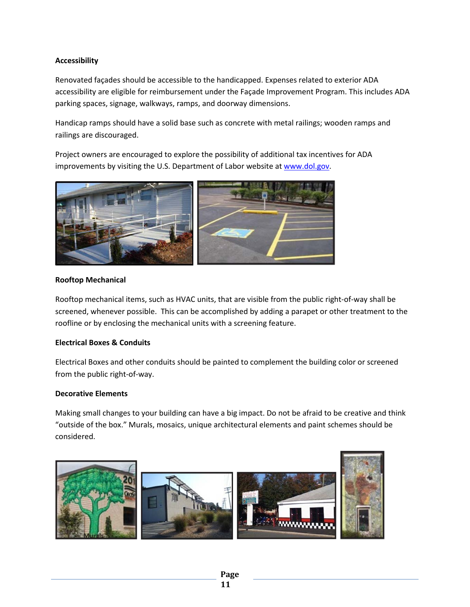## **Accessibility**

Renovated façades should be accessible to the handicapped. Expenses related to exterior ADA accessibility are eligible for reimbursement under the Façade Improvement Program. This includes ADA parking spaces, signage, walkways, ramps, and doorway dimensions.

Handicap ramps should have a solid base such as concrete with metal railings; wooden ramps and railings are discouraged.

Project owners are encouraged to explore the possibility of additional tax incentives for ADA improvements by visiting the U.S. Department of Labor website at [www.dol.gov.](http://www.dol.gov/)



#### **Rooftop Mechanical**

Rooftop mechanical items, such as HVAC units, that are visible from the public right-of-way shall be screened, whenever possible. This can be accomplished by adding a parapet or other treatment to the roofline or by enclosing the mechanical units with a screening feature.

#### **Electrical Boxes & Conduits**

Electrical Boxes and other conduits should be painted to complement the building color or screened from the public right-of-way.

#### **Decorative Elements**

Making small changes to your building can have a big impact. Do not be afraid to be creative and think "outside of the box." Murals, mosaics, unique architectural elements and paint schemes should be considered.

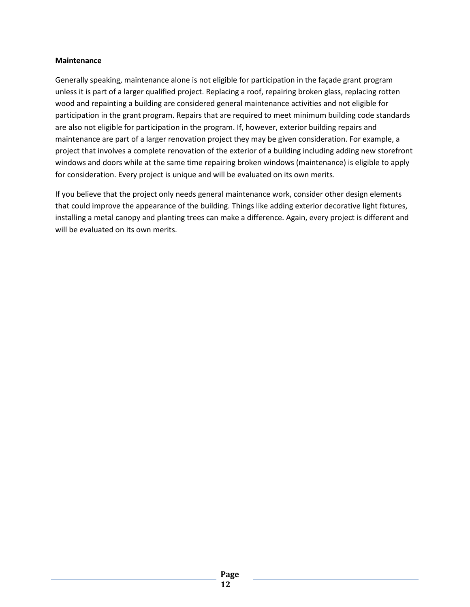#### **Maintenance**

Generally speaking, maintenance alone is not eligible for participation in the façade grant program unless it is part of a larger qualified project. Replacing a roof, repairing broken glass, replacing rotten wood and repainting a building are considered general maintenance activities and not eligible for participation in the grant program. Repairs that are required to meet minimum building code standards are also not eligible for participation in the program. If, however, exterior building repairs and maintenance are part of a larger renovation project they may be given consideration. For example, a project that involves a complete renovation of the exterior of a building including adding new storefront windows and doors while at the same time repairing broken windows (maintenance) is eligible to apply for consideration. Every project is unique and will be evaluated on its own merits.

If you believe that the project only needs general maintenance work, consider other design elements that could improve the appearance of the building. Things like adding exterior decorative light fixtures, installing a metal canopy and planting trees can make a difference. Again, every project is different and will be evaluated on its own merits.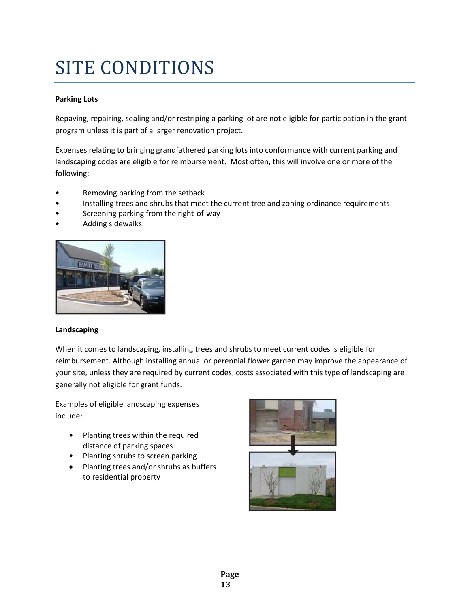## SITE CONDITIONS

## **Parking Lots**

Repaving, repairing, sealing and/or restriping a parking lot are not eligible for participation in the grant program unless it is part of a larger renovation project.

Expenses relating to bringing grandfathered parking lots into conformance with current parking and landscaping codes are eligible for reimbursement. Most often, this will involve one or more of the following:

- Removing parking from the setback
- Installing trees and shrubs that meet the current tree and zoning ordinance requirements
- Screening parking from the right-of-way
- Adding sidewalks



## **Landscaping**

When it comes to landscaping, installing trees and shrubs to meet current codes is eligible for reimbursement. Although installing annual or perennial flower garden may improve the appearance of your site, unless they are required by current codes, costs associated with this type of landscaping are generally not eligible for grant funds.

Examples of eligible landscaping expenses include:

- Planting trees within the required distance of parking spaces
- Planting shrubs to screen parking
- Planting trees and/or shrubs as buffers to residential property



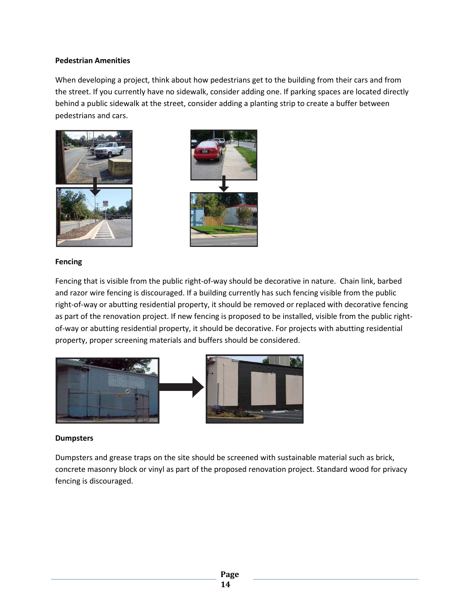#### **Pedestrian Amenities**

When developing a project, think about how pedestrians get to the building from their cars and from the street. If you currently have no sidewalk, consider adding one. If parking spaces are located directly behind a public sidewalk at the street, consider adding a planting strip to create a buffer between pedestrians and cars.





#### **Fencing**

Fencing that is visible from the public right-of-way should be decorative in nature. Chain link, barbed and razor wire fencing is discouraged. If a building currently has such fencing visible from the public right-of-way or abutting residential property, it should be removed or replaced with decorative fencing as part of the renovation project. If new fencing is proposed to be installed, visible from the public rightof-way or abutting residential property, it should be decorative. For projects with abutting residential property, proper screening materials and buffers should be considered.



#### **Dumpsters**

Dumpsters and grease traps on the site should be screened with sustainable material such as brick, concrete masonry block or vinyl as part of the proposed renovation project. Standard wood for privacy fencing is discouraged.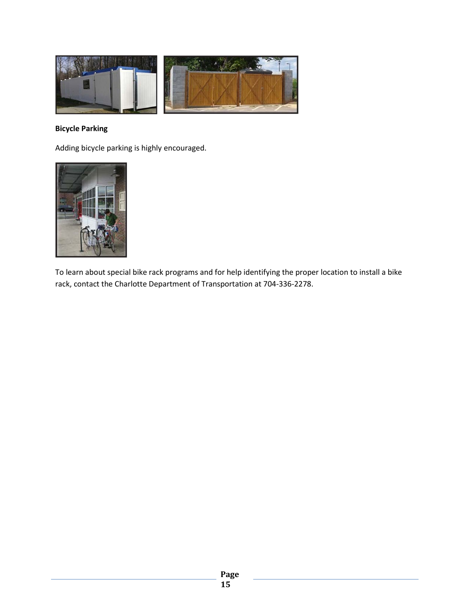

## **Bicycle Parking**

Adding bicycle parking is highly encouraged.



To learn about special bike rack programs and for help identifying the proper location to install a bike rack, contact the Charlotte Department of Transportation at 704-336-2278.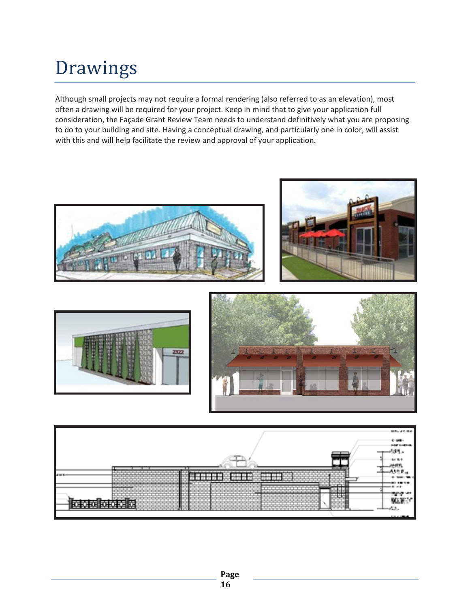# Drawings

Although small projects may not require a formal rendering (also referred to as an elevation), most often a drawing will be required for your project. Keep in mind that to give your application full consideration, the Façade Grant Review Team needs to understand definitively what you are proposing to do to your building and site. Having a conceptual drawing, and particularly one in color, will assist with this and will help facilitate the review and approval of your application.